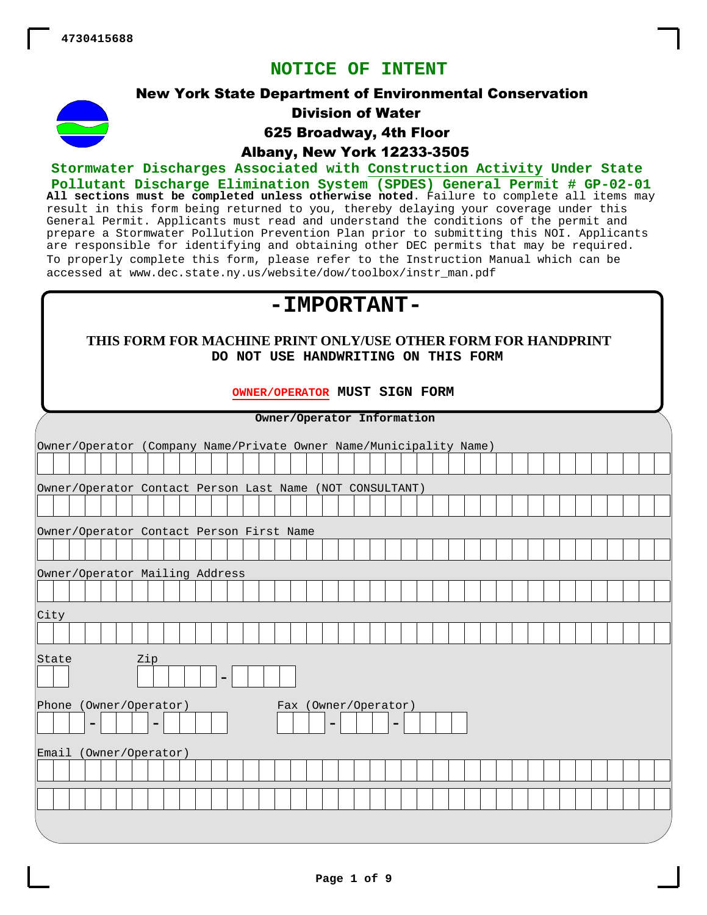**NOTICE OF INTENT**



New York State Department of Environmental Conservation Division of Water

625 Broadway, 4th Floor

Albany, New York 12233-3505

**All sections must be completed unless otherwise noted**. Failure to complete all items may result in this form being returned to you, thereby delaying your coverage under this General Permit. Applicants must read and understand the conditions of the permit and prepare a Stormwater Pollution Prevention Plan prior to submitting this NOI. Applicants are responsible for identifying and obtaining other DEC permits that may be required. To properly complete this form, please refer to the Instruction Manual which can be accessed at www.dec.state.ny.us/website/dow/toolbox/instr\_man.pdf **Stormwater Discharges Associated with Construction Activity Under State Pollutant Discharge Elimination System (SPDES) General Permit # GP-02-01**

# **-IMPORTANT-**

## **THIS FORM FOR MACHINE PRINT ONLY/USE OTHER FORM FOR HANDPRINT DO NOT USE HANDWRITING ON THIS FORM**

## **OWNER/OPERATOR MUST SIGN FORM**

| Owner/Operator Information                                         |   |  |  |  |  |  |  |  |  |  |  |  |
|--------------------------------------------------------------------|---|--|--|--|--|--|--|--|--|--|--|--|
| Owner/Operator (Company Name/Private Owner Name/Municipality Name) |   |  |  |  |  |  |  |  |  |  |  |  |
|                                                                    |   |  |  |  |  |  |  |  |  |  |  |  |
|                                                                    |   |  |  |  |  |  |  |  |  |  |  |  |
| Owner/Operator Contact Person Last Name (NOT CONSULTANT)           |   |  |  |  |  |  |  |  |  |  |  |  |
|                                                                    |   |  |  |  |  |  |  |  |  |  |  |  |
| Owner/Operator Contact Person First Name                           |   |  |  |  |  |  |  |  |  |  |  |  |
|                                                                    |   |  |  |  |  |  |  |  |  |  |  |  |
| Owner/Operator Mailing Address                                     |   |  |  |  |  |  |  |  |  |  |  |  |
|                                                                    |   |  |  |  |  |  |  |  |  |  |  |  |
|                                                                    |   |  |  |  |  |  |  |  |  |  |  |  |
| City                                                               |   |  |  |  |  |  |  |  |  |  |  |  |
|                                                                    |   |  |  |  |  |  |  |  |  |  |  |  |
| Zip<br>State                                                       |   |  |  |  |  |  |  |  |  |  |  |  |
| ٠                                                                  |   |  |  |  |  |  |  |  |  |  |  |  |
| Phone (Owner/Operator)<br>Fax (Owner/Operator)                     |   |  |  |  |  |  |  |  |  |  |  |  |
| $\blacksquare$<br>$\blacksquare$<br>-                              | ۰ |  |  |  |  |  |  |  |  |  |  |  |
|                                                                    |   |  |  |  |  |  |  |  |  |  |  |  |
| Email (Owner/Operator)                                             |   |  |  |  |  |  |  |  |  |  |  |  |
|                                                                    |   |  |  |  |  |  |  |  |  |  |  |  |
|                                                                    |   |  |  |  |  |  |  |  |  |  |  |  |
|                                                                    |   |  |  |  |  |  |  |  |  |  |  |  |
|                                                                    |   |  |  |  |  |  |  |  |  |  |  |  |
|                                                                    |   |  |  |  |  |  |  |  |  |  |  |  |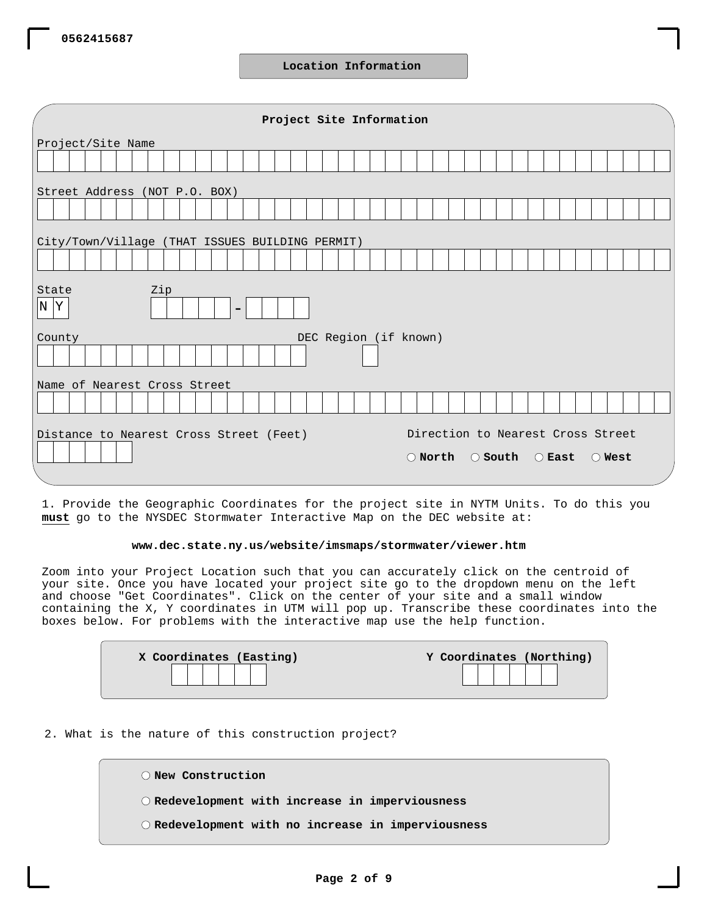**Location Information**

| Project Site Information                               |                                                                         |  |  |  |  |  |  |  |  |  |  |  |
|--------------------------------------------------------|-------------------------------------------------------------------------|--|--|--|--|--|--|--|--|--|--|--|
| Project/Site Name                                      |                                                                         |  |  |  |  |  |  |  |  |  |  |  |
|                                                        |                                                                         |  |  |  |  |  |  |  |  |  |  |  |
| Street Address (NOT P.O. BOX)                          |                                                                         |  |  |  |  |  |  |  |  |  |  |  |
|                                                        |                                                                         |  |  |  |  |  |  |  |  |  |  |  |
| City/Town/Village (THAT ISSUES BUILDING PERMIT)        |                                                                         |  |  |  |  |  |  |  |  |  |  |  |
|                                                        |                                                                         |  |  |  |  |  |  |  |  |  |  |  |
|                                                        |                                                                         |  |  |  |  |  |  |  |  |  |  |  |
| State<br>Zip<br>$ N $ $\overline{Y}$<br>$\blacksquare$ |                                                                         |  |  |  |  |  |  |  |  |  |  |  |
| DEC Region (if known)<br>County                        |                                                                         |  |  |  |  |  |  |  |  |  |  |  |
|                                                        |                                                                         |  |  |  |  |  |  |  |  |  |  |  |
| Name of Nearest Cross Street                           |                                                                         |  |  |  |  |  |  |  |  |  |  |  |
|                                                        |                                                                         |  |  |  |  |  |  |  |  |  |  |  |
| Distance to Nearest Cross Street (Feet)                | Direction to Nearest Cross Street                                       |  |  |  |  |  |  |  |  |  |  |  |
|                                                        | $\bigcirc$ North<br>$\bigcirc$ South $\bigcirc$ East<br>$\bigcirc$ West |  |  |  |  |  |  |  |  |  |  |  |
|                                                        |                                                                         |  |  |  |  |  |  |  |  |  |  |  |

1. Provide the Geographic Coordinates for the project site in NYTM Units. To do this you **must** go to the NYSDEC Stormwater Interactive Map on the DEC website at:

#### **www.dec.state.ny.us/website/imsmaps/stormwater/viewer.htm**

Zoom into your Project Location such that you can accurately click on the centroid of your site. Once you have located your project site go to the dropdown menu on the left and choose "Get Coordinates". Click on the center of your site and a small window containing the X, Y coordinates in UTM will pop up. Transcribe these coordinates into the boxes below. For problems with the interactive map use the help function.

| X Coordinates (Easting) | Y Coordinates (Northing) |
|-------------------------|--------------------------|
|                         |                          |
|                         |                          |

## 2. What is the nature of this construction project?

| O New Construction                                          |
|-------------------------------------------------------------|
| $\circ$ Redevelopment with increase in imperviousness       |
| $\bigcirc$ Redevelopment with no increase in imperviousness |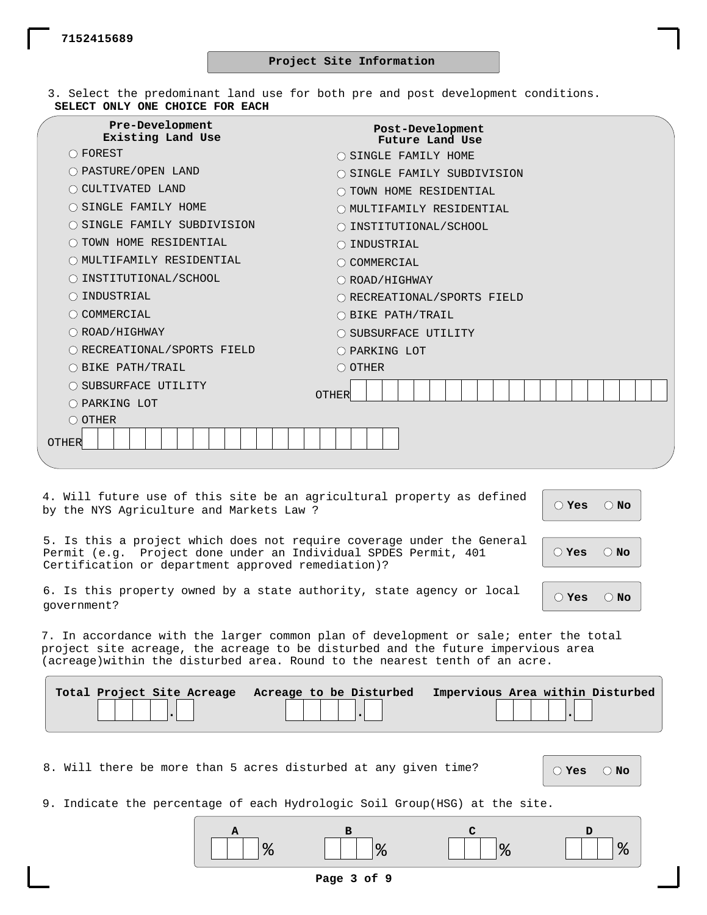$\subset$ 

3. Select the predominant land use for both pre and post development conditions. **SELECT ONLY ONE CHOICE FOR EACH**

| <b>Pre-Development</b><br>Existing Land Use | Post-Development<br>Future Land Use |  |  |  |  |  |  |  |  |  |  |  |  |  |
|---------------------------------------------|-------------------------------------|--|--|--|--|--|--|--|--|--|--|--|--|--|
| $\bigcirc$ FOREST                           | O SINGLE FAMILY HOME                |  |  |  |  |  |  |  |  |  |  |  |  |  |
| O PASTURE/OPEN LAND                         | O SINGLE FAMILY SUBDIVISION         |  |  |  |  |  |  |  |  |  |  |  |  |  |
| O CULTIVATED LAND                           | O TOWN HOME RESIDENTIAL             |  |  |  |  |  |  |  |  |  |  |  |  |  |
| O SINGLE FAMILY HOME                        | O MULTIFAMILY RESIDENTIAL           |  |  |  |  |  |  |  |  |  |  |  |  |  |
| O SINGLE FAMILY SUBDIVISION                 | O INSTITUTIONAL/SCHOOL              |  |  |  |  |  |  |  |  |  |  |  |  |  |
| O TOWN HOME RESIDENTIAL                     | $\bigcirc$ INDUSTRIAL               |  |  |  |  |  |  |  |  |  |  |  |  |  |
| O MULTIFAMILY RESIDENTIAL                   | COMMERCIAL                          |  |  |  |  |  |  |  |  |  |  |  |  |  |
| O INSTITUTIONAL/SCHOOL                      | O ROAD/HIGHWAY                      |  |  |  |  |  |  |  |  |  |  |  |  |  |
| INDUSTRIAL                                  | O RECREATIONAL/SPORTS FIELD         |  |  |  |  |  |  |  |  |  |  |  |  |  |
| O COMMERCIAL                                | $\bigcirc$ BIKE PATH/TRAIL          |  |  |  |  |  |  |  |  |  |  |  |  |  |
| $\bigcirc$ ROAD/HIGHWAY                     | O SUBSURFACE UTILITY                |  |  |  |  |  |  |  |  |  |  |  |  |  |
| O RECREATIONAL/SPORTS FIELD                 | O PARKING LOT                       |  |  |  |  |  |  |  |  |  |  |  |  |  |
| O BIKE PATH/TRAIL                           | $\bigcirc$ OTHER                    |  |  |  |  |  |  |  |  |  |  |  |  |  |
| O SUBSURFACE UTILITY                        |                                     |  |  |  |  |  |  |  |  |  |  |  |  |  |
| O PARKING LOT                               | <b>OTHER</b>                        |  |  |  |  |  |  |  |  |  |  |  |  |  |
| $\bigcirc$ OTHER                            |                                     |  |  |  |  |  |  |  |  |  |  |  |  |  |
| OTHER                                       |                                     |  |  |  |  |  |  |  |  |  |  |  |  |  |
|                                             |                                     |  |  |  |  |  |  |  |  |  |  |  |  |  |

4. Will future use of this site be an agricultural property as defined by the NYS Agriculture and Markets Law ? **Yes No**

**Yes No**

5. Is this a project which does not require coverage under the General Permit (e.g. Project done under an Individual SPDES Permit, 401 Certification or department approved remediation)?

|  |             |  |  | 6. Is this property owned by a state authority, state agency or local $\begin{array}{ c c c c c }\hline\textbf{ } & \textbf{ } & \textbf{ } & \textbf{ } \\ \hline \end{array}$ |  |  |  |
|--|-------------|--|--|---------------------------------------------------------------------------------------------------------------------------------------------------------------------------------|--|--|--|
|  | government? |  |  |                                                                                                                                                                                 |  |  |  |

7. In accordance with the larger common plan of development or sale; enter the total project site acreage, the acreage to be disturbed and the future impervious area (acreage)within the disturbed area. Round to the nearest tenth of an acre.

| Total Project Site Acreage Acreage to be Disturbed | Impervious Area within Disturbed |
|----------------------------------------------------|----------------------------------|
|                                                    |                                  |

8. Will there be more than 5 acres disturbed at any given time?

**Yes No**

9. Indicate the percentage of each Hydrologic Soil Group(HSG) at the site.

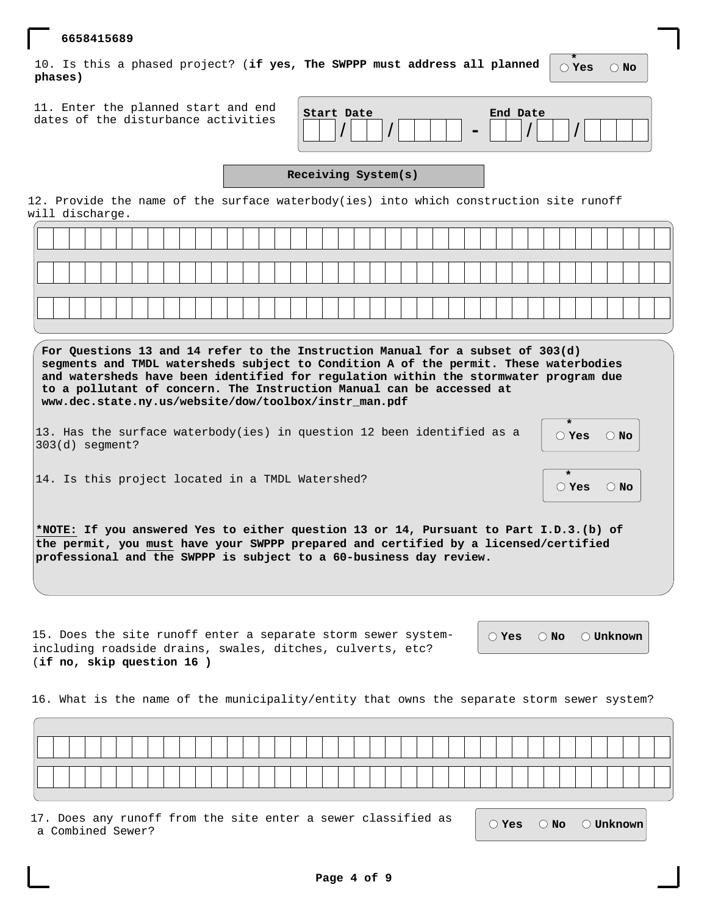10. Is this a phased project? (**if yes, The SWPPP must address all planned phases)**

11. Enter the planned start and end dates of the disturbance activities

| Start Date | End Date |
|------------|----------|
|            |          |

## **Receiving System(s)**

12. Provide the name of the surface waterbody(ies) into which construction site runoff will discharge.

| For Questions 13 and 14 refer to the Instruction Manual for a subset of 303(d)<br>segments and TMDL watersheds subject to Condition A of the permit. These waterbodies<br>and watersheds have been identified for regulation within the stormwater program due<br>to a pollutant of concern. The Instruction Manual can be accessed at<br>www.dec.state.ny.us/website/dow/toolbox/instr_man.pdf |                                                    |
|-------------------------------------------------------------------------------------------------------------------------------------------------------------------------------------------------------------------------------------------------------------------------------------------------------------------------------------------------------------------------------------------------|----------------------------------------------------|
| 13. Has the surface waterbody(ies) in question 12 been identified as a<br>$ 303(d)$ seqment?                                                                                                                                                                                                                                                                                                    | $\overline{\bigcirc}$ Yes $\overline{\bigcirc}$ No |
| 14. Is this project located in a TMDL Watershed?                                                                                                                                                                                                                                                                                                                                                | $\mathcal{O}$ Yes $\mathcal{O}$ No                 |
| *NOTE: If you answered Yes to either question 13 or 14, Pursuant to Part I.D.3.(b) of<br>the permit, you must have your SWPPP prepared and certified by a licensed/certified<br>professional and the SWPPP is subject to a 60-business day review.                                                                                                                                              |                                                    |

15. Does the site runoff enter a separate storm sewer systemincluding roadside drains, swales, ditches, culverts, etc? (**if no, skip question 16 )**

 $\bigcirc$  **Yes**  $\bigcirc$  **No**  $\bigcirc$  **Unknown** 

16. What is the name of the municipality/entity that owns the separate storm sewer system?

17. Does any runoff from the site enter a sewer classified as a Combined Sewer? **Yes No Unknown**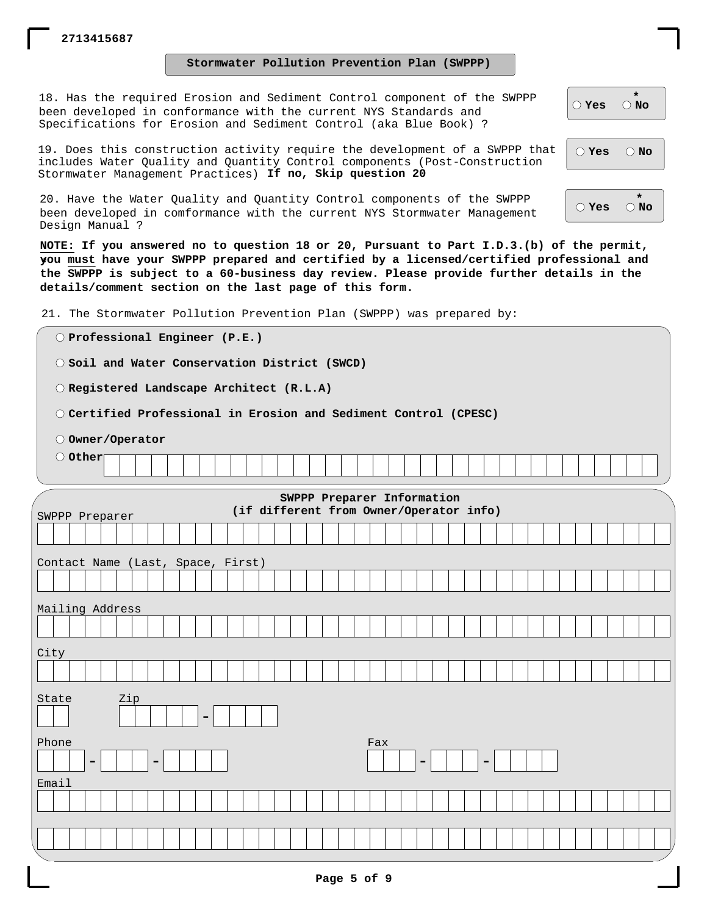**Stormwater Pollution Prevention Plan (SWPPP)**

18. Has the required Erosion and Sediment Control component of the SWPPP been developed in conformance with the current NYS Standards and Specifications for Erosion and Sediment Control (aka Blue Book) ?

19. Does this construction activity require the development of a SWPPP that includes Water Quality and Quantity Control components (Post-Construction Stormwater Management Practices) **If no, Skip question 20**

20. Have the Water Quality and Quantity Control components of the SWPPP been developed in comformance with the current NYS Stormwater Management Design Manual ?

**NOTE: If you answered no to question 18 or 20, Pursuant to Part I.D.3.(b) of the permit, you must have your SWPPP prepared and certified by a licensed/certified professional and \* the SWPPP is subject to a 60-business day review. Please provide further details in the details/comment section on the last page of this form.**

21. The Stormwater Pollution Prevention Plan (SWPPP) was prepared by:

**Professional Engineer (P.E.) Soil and Water Conservation District (SWCD) Registered Landscape Architect (R.L.A) Certified Professional in Erosion and Sediment Control (CPESC) Owner/Operator Other SWPPP Preparer Information (if different from Owner/Operator info)** SWPPP Preparer Contact Name (Last, Space, First) Mailing Address City State - Phone - | | | | | -Fax - | | | | -Email

|               | $\rightarrow$ |
|---------------|---------------|
| $\supset$ Yes | $\bigcirc$ No |

**Yes No**

**\* Yes No**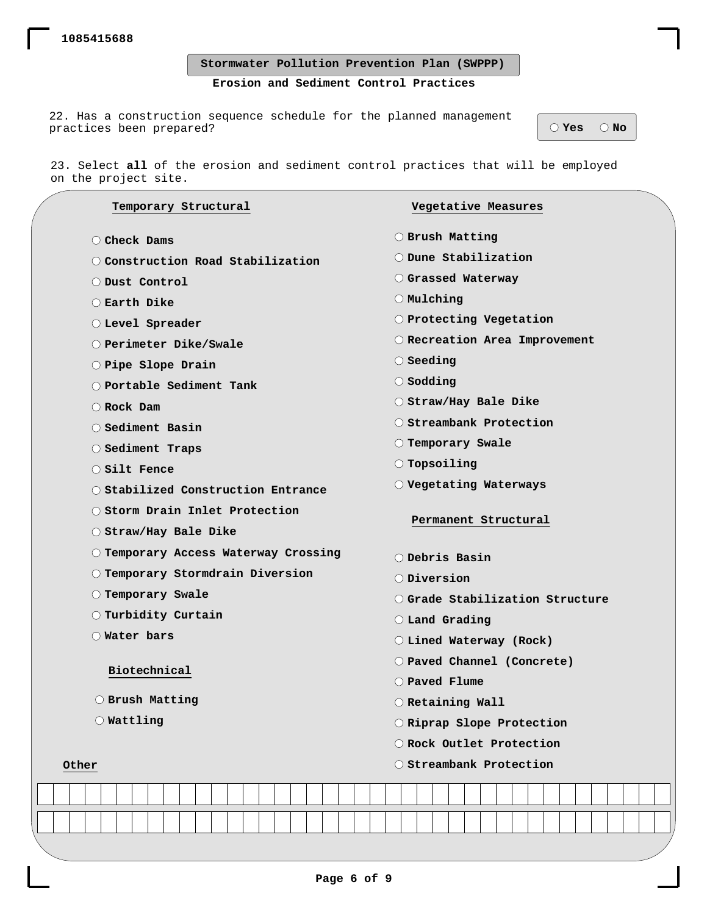**Stormwater Pollution Prevention Plan (SWPPP)**

## **Erosion and Sediment Control Practices**

22. Has a construction sequence schedule for the planned management practices been prepared? **We are all that the energy of the set of the set of**  $\theta$  $\theta$  $\theta$  $\theta$ 

23. Select **all** of the erosion and sediment control practices that will be employed on the project site.

|       |                                                                                                                                                | Temporary Structural                  |  |  |  |  |  |                |                                          |                         |                     |  |  |                    |                           |                  | Vegetative Measures              |  |  |  |  |  |  |  |  |  |  |  |  |  |
|-------|------------------------------------------------------------------------------------------------------------------------------------------------|---------------------------------------|--|--|--|--|--|----------------|------------------------------------------|-------------------------|---------------------|--|--|--------------------|---------------------------|------------------|----------------------------------|--|--|--|--|--|--|--|--|--|--|--|--|--|
|       |                                                                                                                                                | C Check Dams                          |  |  |  |  |  |                |                                          |                         |                     |  |  |                    |                           |                  | O Brush Matting                  |  |  |  |  |  |  |  |  |  |  |  |  |  |
|       |                                                                                                                                                | O Construction Road Stabilization     |  |  |  |  |  |                |                                          |                         |                     |  |  |                    |                           |                  | O Dune Stabilization             |  |  |  |  |  |  |  |  |  |  |  |  |  |
|       | O Dust Control                                                                                                                                 |                                       |  |  |  |  |  |                |                                          |                         | O Grassed Waterway  |  |  |                    |                           |                  |                                  |  |  |  |  |  |  |  |  |  |  |  |  |  |
|       | $\bigcirc$ Earth Dike                                                                                                                          |                                       |  |  |  |  |  |                |                                          |                         | $\bigcirc$ Mulching |  |  |                    |                           |                  |                                  |  |  |  |  |  |  |  |  |  |  |  |  |  |
|       | O Level Spreader                                                                                                                               |                                       |  |  |  |  |  |                |                                          | O Protecting Vegetation |                     |  |  |                    |                           |                  |                                  |  |  |  |  |  |  |  |  |  |  |  |  |  |
|       | O Perimeter Dike/Swale                                                                                                                         |                                       |  |  |  |  |  |                | O Recreation Area Improvement            |                         |                     |  |  |                    |                           |                  |                                  |  |  |  |  |  |  |  |  |  |  |  |  |  |
|       |                                                                                                                                                | O Pipe Slope Drain                    |  |  |  |  |  |                |                                          |                         |                     |  |  |                    | $\bigcirc$ Seeding        |                  |                                  |  |  |  |  |  |  |  |  |  |  |  |  |  |
|       |                                                                                                                                                | O Portable Sediment Tank              |  |  |  |  |  |                |                                          |                         |                     |  |  | $\bigcirc$ Sodding |                           |                  |                                  |  |  |  |  |  |  |  |  |  |  |  |  |  |
|       |                                                                                                                                                | Rock Dam                              |  |  |  |  |  |                |                                          |                         |                     |  |  |                    |                           |                  | O Straw/Hay Bale Dike            |  |  |  |  |  |  |  |  |  |  |  |  |  |
|       |                                                                                                                                                | ◯ Sediment Basin                      |  |  |  |  |  |                |                                          |                         |                     |  |  |                    |                           |                  | O Streambank Protection          |  |  |  |  |  |  |  |  |  |  |  |  |  |
|       |                                                                                                                                                | ◯ Sediment Traps                      |  |  |  |  |  |                |                                          |                         |                     |  |  |                    |                           |                  | O Temporary Swale                |  |  |  |  |  |  |  |  |  |  |  |  |  |
|       |                                                                                                                                                | $\bigcirc$ Silt Fence                 |  |  |  |  |  |                |                                          |                         |                     |  |  |                    |                           |                  | $\bigcirc$ Topsoiling            |  |  |  |  |  |  |  |  |  |  |  |  |  |
|       | O Stabilized Construction Entrance<br>O Storm Drain Inlet Protection<br>$\bigcirc$ Straw/Hay Bale Dike<br>O Temporary Access Waterway Crossing |                                       |  |  |  |  |  |                | $\bigcirc$ Vegetating Waterways          |                         |                     |  |  |                    |                           |                  |                                  |  |  |  |  |  |  |  |  |  |  |  |  |  |
|       |                                                                                                                                                |                                       |  |  |  |  |  |                | Permanent Structural                     |                         |                     |  |  |                    |                           |                  |                                  |  |  |  |  |  |  |  |  |  |  |  |  |  |
|       |                                                                                                                                                |                                       |  |  |  |  |  |                |                                          |                         |                     |  |  |                    |                           |                  |                                  |  |  |  |  |  |  |  |  |  |  |  |  |  |
|       |                                                                                                                                                |                                       |  |  |  |  |  | O Debris Basin |                                          |                         |                     |  |  |                    |                           |                  |                                  |  |  |  |  |  |  |  |  |  |  |  |  |  |
|       | O Temporary Stormdrain Diversion                                                                                                               |                                       |  |  |  |  |  |                |                                          | $\bigcirc$ Diversion    |                     |  |  |                    |                           |                  |                                  |  |  |  |  |  |  |  |  |  |  |  |  |  |
|       | $\bigcirc$ Temporary Swale                                                                                                                     |                                       |  |  |  |  |  |                | $\bigcirc$ Grade Stabilization Structure |                         |                     |  |  |                    |                           |                  |                                  |  |  |  |  |  |  |  |  |  |  |  |  |  |
|       |                                                                                                                                                | $\circlearrowright$ Turbidity Curtain |  |  |  |  |  |                |                                          |                         |                     |  |  |                    | O Land Grading            |                  |                                  |  |  |  |  |  |  |  |  |  |  |  |  |  |
|       |                                                                                                                                                | O Water bars                          |  |  |  |  |  |                |                                          |                         |                     |  |  |                    |                           |                  | $\bigcirc$ Lined Waterway (Rock) |  |  |  |  |  |  |  |  |  |  |  |  |  |
|       |                                                                                                                                                |                                       |  |  |  |  |  |                |                                          |                         |                     |  |  |                    |                           |                  | O Paved Channel (Concrete)       |  |  |  |  |  |  |  |  |  |  |  |  |  |
|       |                                                                                                                                                | Biotechnical                          |  |  |  |  |  |                |                                          |                         |                     |  |  |                    |                           |                  | $\bigcirc$ Paved Flume           |  |  |  |  |  |  |  |  |  |  |  |  |  |
|       |                                                                                                                                                | O Brush Matting                       |  |  |  |  |  |                |                                          |                         |                     |  |  |                    |                           | O Retaining Wall |                                  |  |  |  |  |  |  |  |  |  |  |  |  |  |
|       |                                                                                                                                                | $\bigcirc$ Wattling                   |  |  |  |  |  |                |                                          |                         |                     |  |  |                    | O Riprap Slope Protection |                  |                                  |  |  |  |  |  |  |  |  |  |  |  |  |  |
|       |                                                                                                                                                |                                       |  |  |  |  |  |                |                                          |                         |                     |  |  |                    |                           |                  | O Rock Outlet Protection         |  |  |  |  |  |  |  |  |  |  |  |  |  |
| Other |                                                                                                                                                |                                       |  |  |  |  |  |                |                                          |                         |                     |  |  |                    |                           |                  | O Streambank Protection          |  |  |  |  |  |  |  |  |  |  |  |  |  |
|       |                                                                                                                                                |                                       |  |  |  |  |  |                |                                          |                         |                     |  |  |                    |                           |                  |                                  |  |  |  |  |  |  |  |  |  |  |  |  |  |
|       |                                                                                                                                                |                                       |  |  |  |  |  |                |                                          |                         |                     |  |  |                    |                           |                  |                                  |  |  |  |  |  |  |  |  |  |  |  |  |  |
|       |                                                                                                                                                |                                       |  |  |  |  |  |                |                                          |                         |                     |  |  |                    |                           |                  |                                  |  |  |  |  |  |  |  |  |  |  |  |  |  |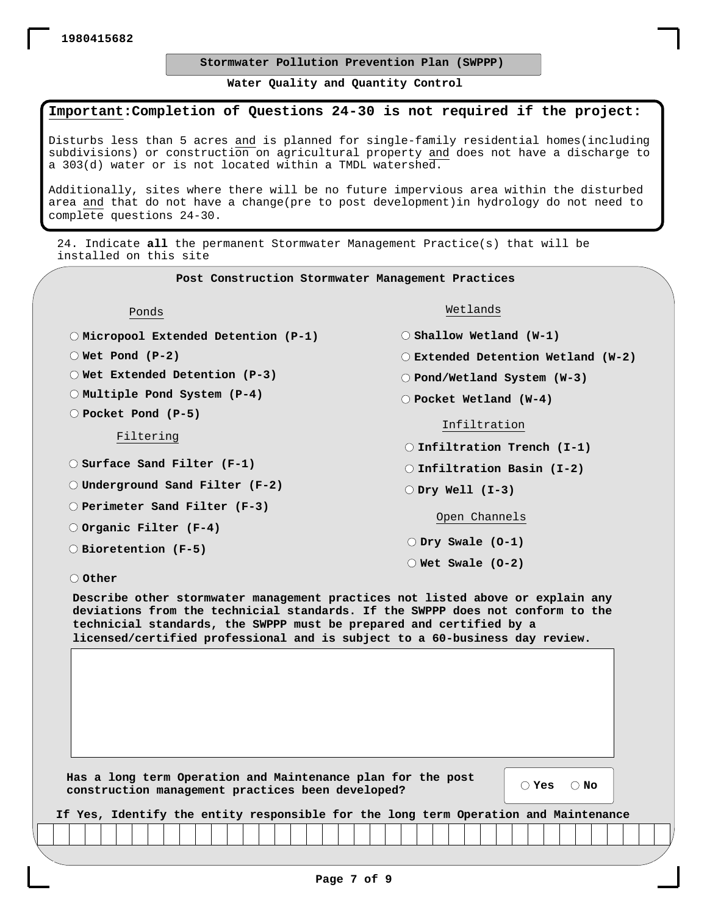## **Stormwater Pollution Prevention Plan (SWPPP)**

**Water Quality and Quantity Control**

## **Important:Completion of Questions 24-30 is not required if the project:**

Disturbs less than 5 acres and is planned for single-family residential homes(including subdivisions) or construction on agricultural property and does not have a discharge to a 303(d) water or is not located within a TMDL watershed.

Additionally, sites where there will be no future impervious area within the disturbed area and that do not have a change(pre to post development)in hydrology do not need to complete questions 24-30.

24. Indicate **all** the permanent Stormwater Management Practice(s) that will be installed on this site

**Post Construction Stormwater Management Practices**

Ponds

**Micropool Extended Detention (P-1)**

**Wet Pond (P-2)**

**Wet Extended Detention (P-3)**

**Multiple Pond System (P-4)**

**Pocket Pond (P-5)**

Filtering

**Surface Sand Filter (F-1)**

**Underground Sand Filter (F-2)**

**Perimeter Sand Filter (F-3)**

**Organic Filter (F-4)**

**Bioretention (F-5) Dry Swale (O-1)**

Wetlands

**Shallow Wetland (W-1)**

**Extended Detention Wetland (W-2)**

**Pond/Wetland System (W-3)**

**Pocket Wetland (W-4)**

#### Infiltration

**Infiltration Trench (I-1)**

**Infiltration Basin (I-2)**

**Dry Well (I-3)**

Open Channels

**Wet Swale (O-2)**

**Other**

**Describe other stormwater management practices not listed above or explain any deviations from the technicial standards. If the SWPPP does not conform to the technicial standards, the SWPPP must be prepared and certified by a licensed/certified professional and is subject to a 60-business day review.**

**Has a long term Operation and Maintenance plan for the post construction management practices been developed?**

**Yes No**

| If Yes, Identify the entity responsible for the long term Operation and Maintenance |  |  |  |  |
|-------------------------------------------------------------------------------------|--|--|--|--|
|-------------------------------------------------------------------------------------|--|--|--|--|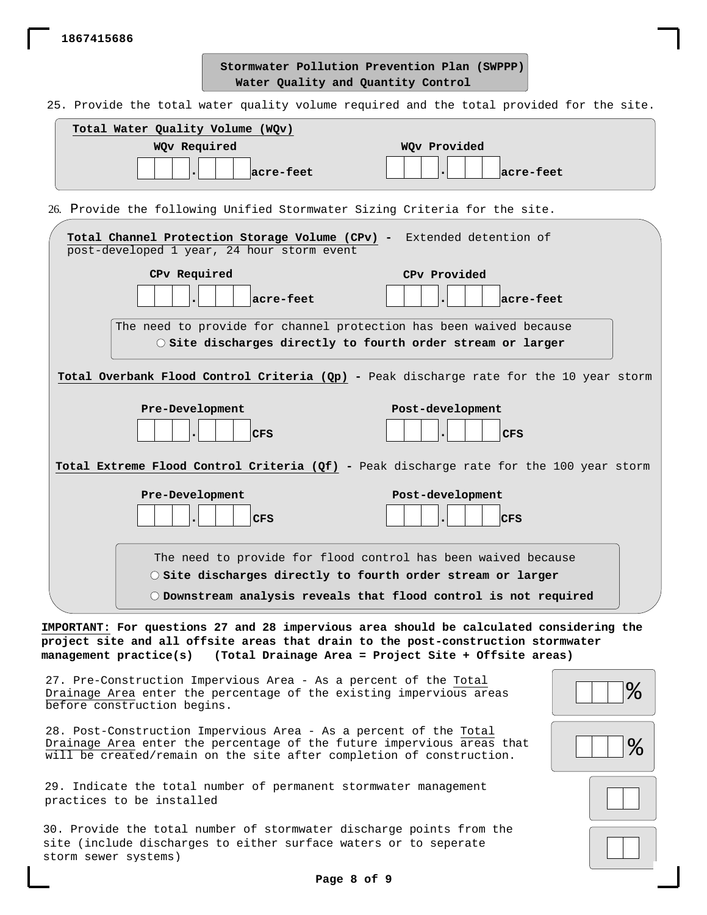**1867415686**

**Water Quality and Quantity Control Stormwater Pollution Prevention Plan (SWPPP)**

25. Provide the total water quality volume required and the total provided for the site.

| Total Water Quality Volume (WQv) |              |
|----------------------------------|--------------|
| WQv Required                     | WQv Provided |
| acre-feet                        | acre-feet    |

26. Provide the following Unified Stormwater Sizing Criteria for the site.

| Total Channel Protection Storage Volume (CPv) - Extended detention of                                                                                                                                                                                       |          |  |  |  |  |  |  |  |
|-------------------------------------------------------------------------------------------------------------------------------------------------------------------------------------------------------------------------------------------------------------|----------|--|--|--|--|--|--|--|
| post-developed 1 year, 24 hour storm event                                                                                                                                                                                                                  |          |  |  |  |  |  |  |  |
| CPv Required<br>CPv Provided                                                                                                                                                                                                                                |          |  |  |  |  |  |  |  |
| acre-feet<br> acre-feet                                                                                                                                                                                                                                     |          |  |  |  |  |  |  |  |
| The need to provide for channel protection has been waived because<br>$\circ$ Site discharges directly to fourth order stream or larger                                                                                                                     |          |  |  |  |  |  |  |  |
| Total Overbank Flood Control Criteria (Qp) - Peak discharge rate for the 10 year storm                                                                                                                                                                      |          |  |  |  |  |  |  |  |
| Pre-Development<br>Post-development                                                                                                                                                                                                                         |          |  |  |  |  |  |  |  |
| CFS<br>CFS                                                                                                                                                                                                                                                  |          |  |  |  |  |  |  |  |
| Total Extreme Flood Control Criteria (Qf) - Peak discharge rate for the 100 year storm                                                                                                                                                                      |          |  |  |  |  |  |  |  |
| Pre-Development<br>Post-development<br>CFS<br>CFS                                                                                                                                                                                                           |          |  |  |  |  |  |  |  |
| The need to provide for flood control has been waived because                                                                                                                                                                                               |          |  |  |  |  |  |  |  |
| O Site discharges directly to fourth order stream or larger                                                                                                                                                                                                 |          |  |  |  |  |  |  |  |
| $\circlearrowright$ Downstream analysis reveals that flood control is not required                                                                                                                                                                          |          |  |  |  |  |  |  |  |
|                                                                                                                                                                                                                                                             |          |  |  |  |  |  |  |  |
| IMPORTANT: For questions 27 and 28 impervious area should be calculated considering the<br>project site and all offsite areas that drain to the post-construction stormwater<br>management practice(s) (Total Drainage Area = Project Site + Offsite areas) |          |  |  |  |  |  |  |  |
| 27. Pre-Construction Impervious Area - As a percent of the Total<br>Drainage Area enter the percentage of the existing impervious areas<br>before construction begins.                                                                                      | <u>န</u> |  |  |  |  |  |  |  |
| 28. Post-Construction Impervious Area - As a percent of the Total<br>Drainage Area enter the percentage of the future impervious areas that<br>will be created/remain on the site after completion of construction.                                         | ᡩ        |  |  |  |  |  |  |  |
| 29. Indicate the total number of permanent stormwater management<br>practices to be installed                                                                                                                                                               |          |  |  |  |  |  |  |  |
| 30. Provide the total number of stormwater discharge points from the<br>site (include discharges to either surface waters or to seperate<br>storm sewer systems)                                                                                            |          |  |  |  |  |  |  |  |